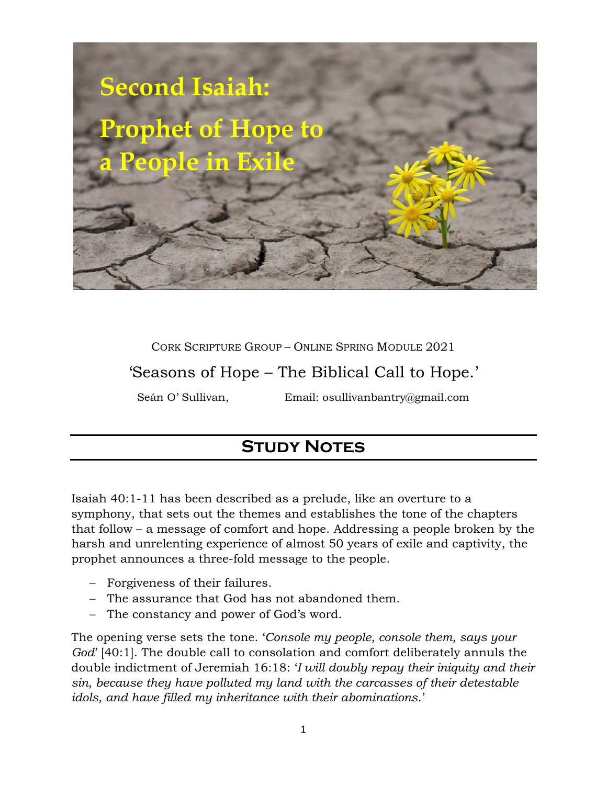

## CORK SCRIPTURE GROUP – ONLINE SPRING MODULE 2021

'Seasons of Hope – The Biblical Call to Hope.'

Seán O' Sullivan, Email: osullivanbantry@gmail.com

# **STUDY NOTES**

Isaiah 40:1-11 has been described as a prelude, like an overture to a symphony, that sets out the themes and establishes the tone of the chapters that follow – a message of comfort and hope. Addressing a people broken by the harsh and unrelenting experience of almost 50 years of exile and captivity, the prophet announces a three-fold message to the people.

- − Forgiveness of their failures.
- − The assurance that God has not abandoned them.
- − The constancy and power of God's word.

The opening verse sets the tone. '*Console my people, console them, says your God*' [40:1]. The double call to consolation and comfort deliberately annuls the double indictment of Jeremiah 16:18: '*I will doubly repay their iniquity and their sin, because they have polluted my land with the carcasses of their detestable idols, and have filled my inheritance with their abominations*.'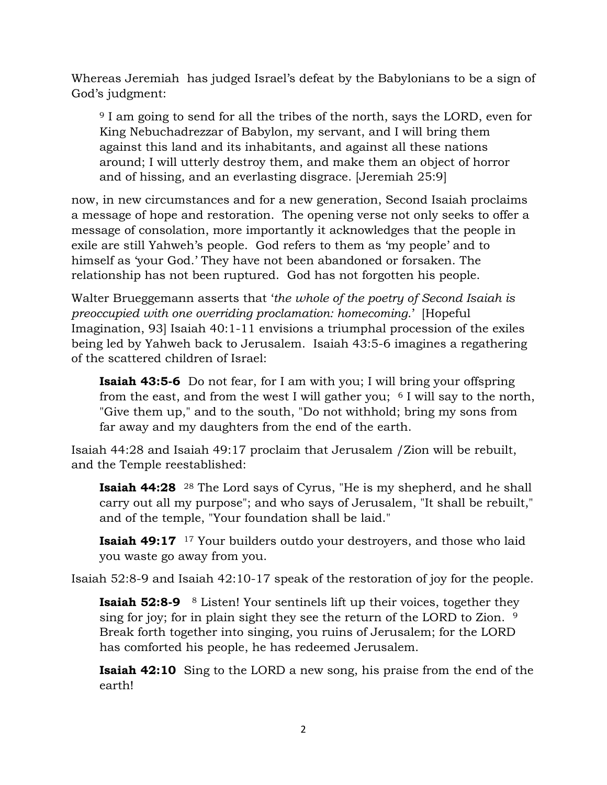Whereas Jeremiah has judged Israel's defeat by the Babylonians to be a sign of God's judgment:

<sup>9</sup> I am going to send for all the tribes of the north, says the LORD, even for King Nebuchadrezzar of Babylon, my servant, and I will bring them against this land and its inhabitants, and against all these nations around; I will utterly destroy them, and make them an object of horror and of hissing, and an everlasting disgrace. [Jeremiah 25:9]

now, in new circumstances and for a new generation, Second Isaiah proclaims a message of hope and restoration. The opening verse not only seeks to offer a message of consolation, more importantly it acknowledges that the people in exile are still Yahweh's people. God refers to them as 'my people' and to himself as 'your God.' They have not been abandoned or forsaken. The relationship has not been ruptured. God has not forgotten his people.

Walter Brueggemann asserts that '*the whole of the poetry of Second Isaiah is preoccupied with one overriding proclamation: homecoming*.' [Hopeful Imagination, 93] Isaiah 40:1-11 envisions a triumphal procession of the exiles being led by Yahweh back to Jerusalem. Isaiah 43:5-6 imagines a regathering of the scattered children of Israel:

**Isaiah 43:5-6** Do not fear, for I am with you; I will bring your offspring from the east, and from the west I will gather you;  $6$  I will say to the north, "Give them up," and to the south, "Do not withhold; bring my sons from far away and my daughters from the end of the earth.

Isaiah 44:28 and Isaiah 49:17 proclaim that Jerusalem /Zion will be rebuilt, and the Temple reestablished:

**Isaiah 44:28** <sup>28</sup> The Lord says of Cyrus, "He is my shepherd, and he shall carry out all my purpose"; and who says of Jerusalem, "It shall be rebuilt," and of the temple, "Your foundation shall be laid."

**Isaiah 49:17** <sup>17</sup> Your builders outdo your destroyers, and those who laid you waste go away from you.

Isaiah 52:8-9 and Isaiah 42:10-17 speak of the restoration of joy for the people.

**Isaiah 52:8-9** <sup>8</sup> Listen! Your sentinels lift up their voices, together they sing for joy; for in plain sight they see the return of the LORD to Zion. <sup>9</sup> Break forth together into singing, you ruins of Jerusalem; for the LORD has comforted his people, he has redeemed Jerusalem.

**Isaiah 42:10** Sing to the LORD a new song, his praise from the end of the earth!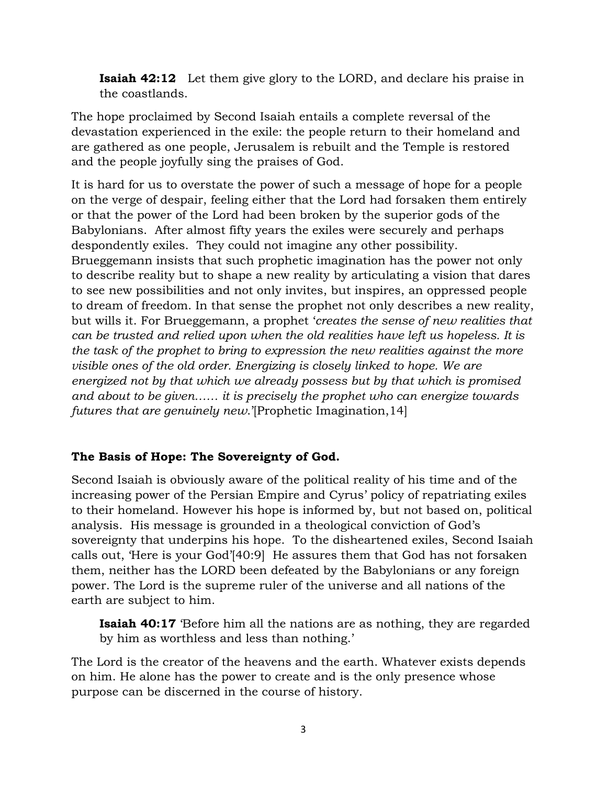**Isaiah 42:12** Let them give glory to the LORD, and declare his praise in the coastlands.

The hope proclaimed by Second Isaiah entails a complete reversal of the devastation experienced in the exile: the people return to their homeland and are gathered as one people, Jerusalem is rebuilt and the Temple is restored and the people joyfully sing the praises of God.

It is hard for us to overstate the power of such a message of hope for a people on the verge of despair, feeling either that the Lord had forsaken them entirely or that the power of the Lord had been broken by the superior gods of the Babylonians. After almost fifty years the exiles were securely and perhaps despondently exiles. They could not imagine any other possibility. Brueggemann insists that such prophetic imagination has the power not only to describe reality but to shape a new reality by articulating a vision that dares to see new possibilities and not only invites, but inspires, an oppressed people to dream of freedom. In that sense the prophet not only describes a new reality, but wills it. For Brueggemann, a prophet '*creates the sense of new realities that can be trusted and relied upon when the old realities have left us hopeless. It is the task of the prophet to bring to expression the new realities against the more visible ones of the old order. Energizing is closely linked to hope. We are energized not by that which we already possess but by that which is promised and about to be given…… it is precisely the prophet who can energize towards futures that are genuinely new*.'[Prophetic Imagination,14]

# **The Basis of Hope: The Sovereignty of God.**

Second Isaiah is obviously aware of the political reality of his time and of the increasing power of the Persian Empire and Cyrus' policy of repatriating exiles to their homeland. However his hope is informed by, but not based on, political analysis. His message is grounded in a theological conviction of God's sovereignty that underpins his hope. To the disheartened exiles, Second Isaiah calls out, 'Here is your God'[40:9] He assures them that God has not forsaken them, neither has the LORD been defeated by the Babylonians or any foreign power. The Lord is the supreme ruler of the universe and all nations of the earth are subject to him.

**Isaiah 40:17** 'Before him all the nations are as nothing, they are regarded by him as worthless and less than nothing.'

The Lord is the creator of the heavens and the earth. Whatever exists depends on him. He alone has the power to create and is the only presence whose purpose can be discerned in the course of history.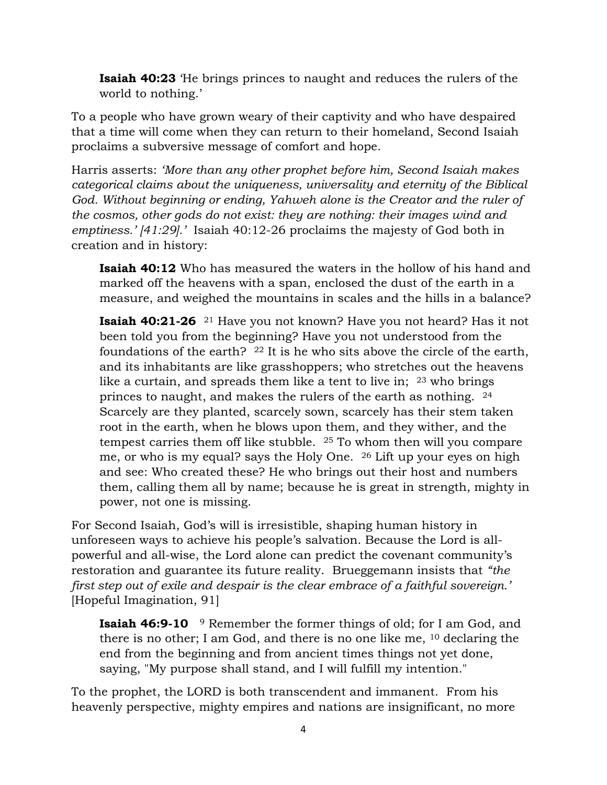**Isaiah 40:23** 'He brings princes to naught and reduces the rulers of the world to nothing.'

To a people who have grown weary of their captivity and who have despaired that a time will come when they can return to their homeland, Second Isaiah proclaims a subversive message of comfort and hope.

Harris asserts: *'More than any other prophet before him, Second Isaiah makes categorical claims about the uniqueness, universality and eternity of the Biblical God. Without beginning or ending, Yahweh alone is the Creator and the ruler of the cosmos, other gods do not exist: they are nothing: their images wind and emptiness.' [41:29].'* Isaiah 40:12-26 proclaims the majesty of God both in creation and in history:

**Isaiah 40:12** Who has measured the waters in the hollow of his hand and marked off the heavens with a span, enclosed the dust of the earth in a measure, and weighed the mountains in scales and the hills in a balance?

**Isaiah 40:21-26** <sup>21</sup> Have you not known? Have you not heard? Has it not been told you from the beginning? Have you not understood from the foundations of the earth?  $^{22}$  It is he who sits above the circle of the earth, and its inhabitants are like grasshoppers; who stretches out the heavens like a curtain, and spreads them like a tent to live in; <sup>23</sup> who brings princes to naught, and makes the rulers of the earth as nothing. <sup>24</sup> Scarcely are they planted, scarcely sown, scarcely has their stem taken root in the earth, when he blows upon them, and they wither, and the tempest carries them off like stubble. <sup>25</sup> To whom then will you compare me, or who is my equal? says the Holy One. <sup>26</sup> Lift up your eyes on high and see: Who created these? He who brings out their host and numbers them, calling them all by name; because he is great in strength, mighty in power, not one is missing.

For Second Isaiah, God's will is irresistible, shaping human history in unforeseen ways to achieve his people's salvation. Because the Lord is allpowerful and all-wise, the Lord alone can predict the covenant community's restoration and guarantee its future reality. Brueggemann insists that *"the first step out of exile and despair is the clear embrace of a faithful sovereign.'* [Hopeful Imagination, 91]

**Isaiah 46:9-10** <sup>9</sup> Remember the former things of old; for I am God, and there is no other; I am God, and there is no one like me, <sup>10</sup> declaring the end from the beginning and from ancient times things not yet done, saying, "My purpose shall stand, and I will fulfill my intention."

To the prophet, the LORD is both transcendent and immanent. From his heavenly perspective, mighty empires and nations are insignificant, no more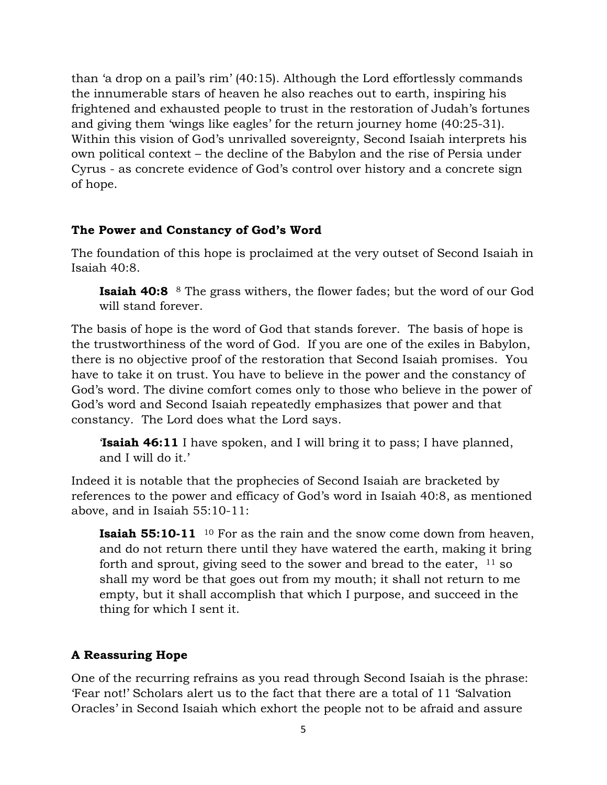than 'a drop on a pail's rim' (40:15). Although the Lord effortlessly commands the innumerable stars of heaven he also reaches out to earth, inspiring his frightened and exhausted people to trust in the restoration of Judah's fortunes and giving them 'wings like eagles' for the return journey home (40:25-31). Within this vision of God's unrivalled sovereignty, Second Isaiah interprets his own political context – the decline of the Babylon and the rise of Persia under Cyrus - as concrete evidence of God's control over history and a concrete sign of hope.

## **The Power and Constancy of God's Word**

The foundation of this hope is proclaimed at the very outset of Second Isaiah in Isaiah 40:8.

**Isaiah 40:8** <sup>8</sup> The grass withers, the flower fades; but the word of our God will stand forever.

The basis of hope is the word of God that stands forever. The basis of hope is the trustworthiness of the word of God. If you are one of the exiles in Babylon, there is no objective proof of the restoration that Second Isaiah promises. You have to take it on trust. You have to believe in the power and the constancy of God's word. The divine comfort comes only to those who believe in the power of God's word and Second Isaiah repeatedly emphasizes that power and that constancy. The Lord does what the Lord says.

'**Isaiah 46:11** I have spoken, and I will bring it to pass; I have planned, and I will do it.'

Indeed it is notable that the prophecies of Second Isaiah are bracketed by references to the power and efficacy of God's word in Isaiah 40:8, as mentioned above, and in Isaiah 55:10-11:

**Isaiah 55:10-11** <sup>10</sup> For as the rain and the snow come down from heaven, and do not return there until they have watered the earth, making it bring forth and sprout, giving seed to the sower and bread to the eater,  $11$  so shall my word be that goes out from my mouth; it shall not return to me empty, but it shall accomplish that which I purpose, and succeed in the thing for which I sent it.

#### **A Reassuring Hope**

One of the recurring refrains as you read through Second Isaiah is the phrase: 'Fear not!' Scholars alert us to the fact that there are a total of 11 'Salvation Oracles' in Second Isaiah which exhort the people not to be afraid and assure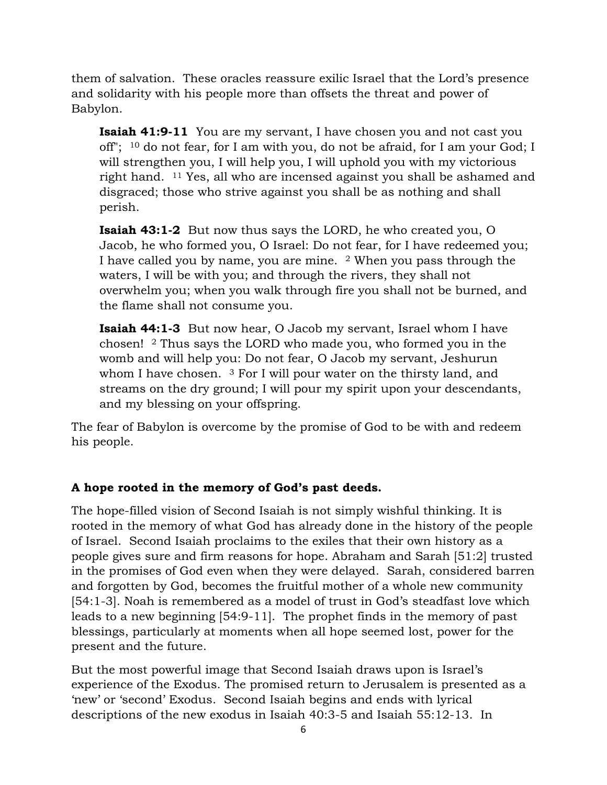them of salvation. These oracles reassure exilic Israel that the Lord's presence and solidarity with his people more than offsets the threat and power of Babylon.

**Isaiah 41:9-11** You are my servant, I have chosen you and not cast you off"; <sup>10</sup> do not fear, for I am with you, do not be afraid, for I am your God; I will strengthen you, I will help you, I will uphold you with my victorious right hand. <sup>11</sup> Yes, all who are incensed against you shall be ashamed and disgraced; those who strive against you shall be as nothing and shall perish.

**Isaiah 43:1-2** But now thus says the LORD, he who created you, O Jacob, he who formed you, O Israel: Do not fear, for I have redeemed you; I have called you by name, you are mine. <sup>2</sup> When you pass through the waters, I will be with you; and through the rivers, they shall not overwhelm you; when you walk through fire you shall not be burned, and the flame shall not consume you.

**Isaiah 44:1-3** But now hear, O Jacob my servant, Israel whom I have chosen! <sup>2</sup> Thus says the LORD who made you, who formed you in the womb and will help you: Do not fear, O Jacob my servant, Jeshurun whom I have chosen. <sup>3</sup> For I will pour water on the thirsty land, and streams on the dry ground; I will pour my spirit upon your descendants, and my blessing on your offspring.

The fear of Babylon is overcome by the promise of God to be with and redeem his people.

# **A hope rooted in the memory of God's past deeds.**

The hope-filled vision of Second Isaiah is not simply wishful thinking. It is rooted in the memory of what God has already done in the history of the people of Israel. Second Isaiah proclaims to the exiles that their own history as a people gives sure and firm reasons for hope. Abraham and Sarah [51:2] trusted in the promises of God even when they were delayed. Sarah, considered barren and forgotten by God, becomes the fruitful mother of a whole new community [54:1-3]. Noah is remembered as a model of trust in God's steadfast love which leads to a new beginning [54:9-11]. The prophet finds in the memory of past blessings, particularly at moments when all hope seemed lost, power for the present and the future.

But the most powerful image that Second Isaiah draws upon is Israel's experience of the Exodus. The promised return to Jerusalem is presented as a 'new' or 'second' Exodus. Second Isaiah begins and ends with lyrical descriptions of the new exodus in Isaiah 40:3-5 and Isaiah 55:12-13. In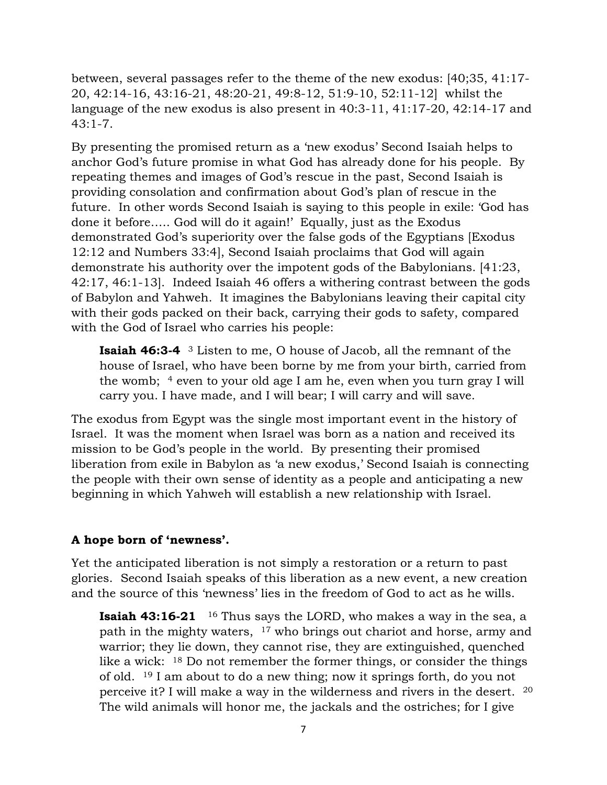between, several passages refer to the theme of the new exodus: [40;35, 41:17- 20, 42:14-16, 43:16-21, 48:20-21, 49:8-12, 51:9-10, 52:11-12] whilst the language of the new exodus is also present in 40:3-11, 41:17-20, 42:14-17 and  $43:1 - 7$ .

By presenting the promised return as a 'new exodus' Second Isaiah helps to anchor God's future promise in what God has already done for his people. By repeating themes and images of God's rescue in the past, Second Isaiah is providing consolation and confirmation about God's plan of rescue in the future. In other words Second Isaiah is saying to this people in exile: 'God has done it before….. God will do it again!' Equally, just as the Exodus demonstrated God's superiority over the false gods of the Egyptians [Exodus 12:12 and Numbers 33:4], Second Isaiah proclaims that God will again demonstrate his authority over the impotent gods of the Babylonians. [41:23, 42:17, 46:1-13]. Indeed Isaiah 46 offers a withering contrast between the gods of Babylon and Yahweh. It imagines the Babylonians leaving their capital city with their gods packed on their back, carrying their gods to safety, compared with the God of Israel who carries his people:

**Isaiah 46:3-4** <sup>3</sup> Listen to me, O house of Jacob, all the remnant of the house of Israel, who have been borne by me from your birth, carried from the womb; <sup>4</sup> even to your old age I am he, even when you turn gray I will carry you. I have made, and I will bear; I will carry and will save.

The exodus from Egypt was the single most important event in the history of Israel. It was the moment when Israel was born as a nation and received its mission to be God's people in the world. By presenting their promised liberation from exile in Babylon as 'a new exodus,' Second Isaiah is connecting the people with their own sense of identity as a people and anticipating a new beginning in which Yahweh will establish a new relationship with Israel.

## **A hope born of 'newness'.**

Yet the anticipated liberation is not simply a restoration or a return to past glories. Second Isaiah speaks of this liberation as a new event, a new creation and the source of this 'newness' lies in the freedom of God to act as he wills.

**Isaiah 43:16-21** <sup>16</sup> Thus says the LORD, who makes a way in the sea, a path in the mighty waters, <sup>17</sup> who brings out chariot and horse, army and warrior; they lie down, they cannot rise, they are extinguished, quenched like a wick: <sup>18</sup> Do not remember the former things, or consider the things of old. <sup>19</sup> I am about to do a new thing; now it springs forth, do you not perceive it? I will make a way in the wilderness and rivers in the desert. <sup>20</sup> The wild animals will honor me, the jackals and the ostriches; for I give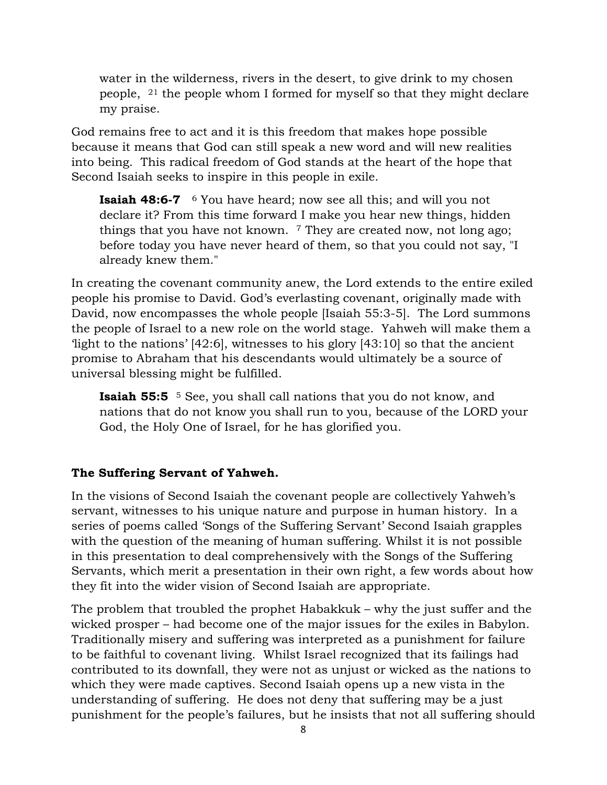water in the wilderness, rivers in the desert, to give drink to my chosen people, <sup>21</sup> the people whom I formed for myself so that they might declare my praise.

God remains free to act and it is this freedom that makes hope possible because it means that God can still speak a new word and will new realities into being. This radical freedom of God stands at the heart of the hope that Second Isaiah seeks to inspire in this people in exile.

**Isaiah 48:6-7**  <sup>6</sup> You have heard; now see all this; and will you not declare it? From this time forward I make you hear new things, hidden things that you have not known.  $7$  They are created now, not long ago; before today you have never heard of them, so that you could not say, "I already knew them."

In creating the covenant community anew, the Lord extends to the entire exiled people his promise to David. God's everlasting covenant, originally made with David, now encompasses the whole people [Isaiah 55:3-5]. The Lord summons the people of Israel to a new role on the world stage. Yahweh will make them a 'light to the nations' [42:6], witnesses to his glory [43:10] so that the ancient promise to Abraham that his descendants would ultimately be a source of universal blessing might be fulfilled.

**Isaiah 55:5** <sup>5</sup> See, you shall call nations that you do not know, and nations that do not know you shall run to you, because of the LORD your God, the Holy One of Israel, for he has glorified you.

## **The Suffering Servant of Yahweh.**

In the visions of Second Isaiah the covenant people are collectively Yahweh's servant, witnesses to his unique nature and purpose in human history. In a series of poems called 'Songs of the Suffering Servant' Second Isaiah grapples with the question of the meaning of human suffering. Whilst it is not possible in this presentation to deal comprehensively with the Songs of the Suffering Servants, which merit a presentation in their own right, a few words about how they fit into the wider vision of Second Isaiah are appropriate.

The problem that troubled the prophet Habakkuk – why the just suffer and the wicked prosper – had become one of the major issues for the exiles in Babylon. Traditionally misery and suffering was interpreted as a punishment for failure to be faithful to covenant living. Whilst Israel recognized that its failings had contributed to its downfall, they were not as unjust or wicked as the nations to which they were made captives. Second Isaiah opens up a new vista in the understanding of suffering. He does not deny that suffering may be a just punishment for the people's failures, but he insists that not all suffering should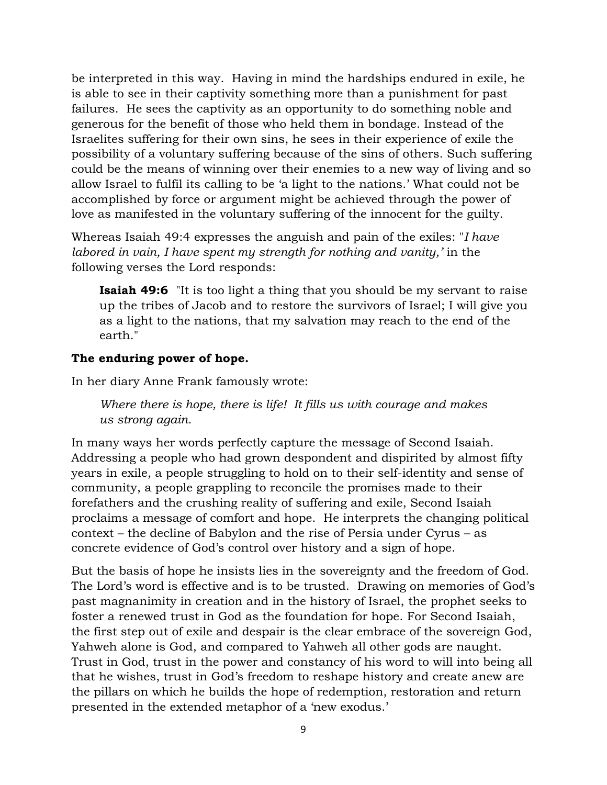be interpreted in this way. Having in mind the hardships endured in exile, he is able to see in their captivity something more than a punishment for past failures. He sees the captivity as an opportunity to do something noble and generous for the benefit of those who held them in bondage. Instead of the Israelites suffering for their own sins, he sees in their experience of exile the possibility of a voluntary suffering because of the sins of others. Such suffering could be the means of winning over their enemies to a new way of living and so allow Israel to fulfil its calling to be 'a light to the nations.' What could not be accomplished by force or argument might be achieved through the power of love as manifested in the voluntary suffering of the innocent for the guilty.

Whereas Isaiah 49:4 expresses the anguish and pain of the exiles: "*I have labored in vain, I have spent my strength for nothing and vanity,'* in the following verses the Lord responds:

**Isaiah 49:6** "It is too light a thing that you should be my servant to raise up the tribes of Jacob and to restore the survivors of Israel; I will give you as a light to the nations, that my salvation may reach to the end of the earth."

## **The enduring power of hope.**

In her diary Anne Frank famously wrote:

*Where there is hope, there is life! It fills us with courage and makes us strong again.*

In many ways her words perfectly capture the message of Second Isaiah. Addressing a people who had grown despondent and dispirited by almost fifty years in exile, a people struggling to hold on to their self-identity and sense of community, a people grappling to reconcile the promises made to their forefathers and the crushing reality of suffering and exile, Second Isaiah proclaims a message of comfort and hope. He interprets the changing political context – the decline of Babylon and the rise of Persia under Cyrus – as concrete evidence of God's control over history and a sign of hope.

But the basis of hope he insists lies in the sovereignty and the freedom of God. The Lord's word is effective and is to be trusted. Drawing on memories of God's past magnanimity in creation and in the history of Israel, the prophet seeks to foster a renewed trust in God as the foundation for hope. For Second Isaiah, the first step out of exile and despair is the clear embrace of the sovereign God, Yahweh alone is God, and compared to Yahweh all other gods are naught. Trust in God, trust in the power and constancy of his word to will into being all that he wishes, trust in God's freedom to reshape history and create anew are the pillars on which he builds the hope of redemption, restoration and return presented in the extended metaphor of a 'new exodus.'